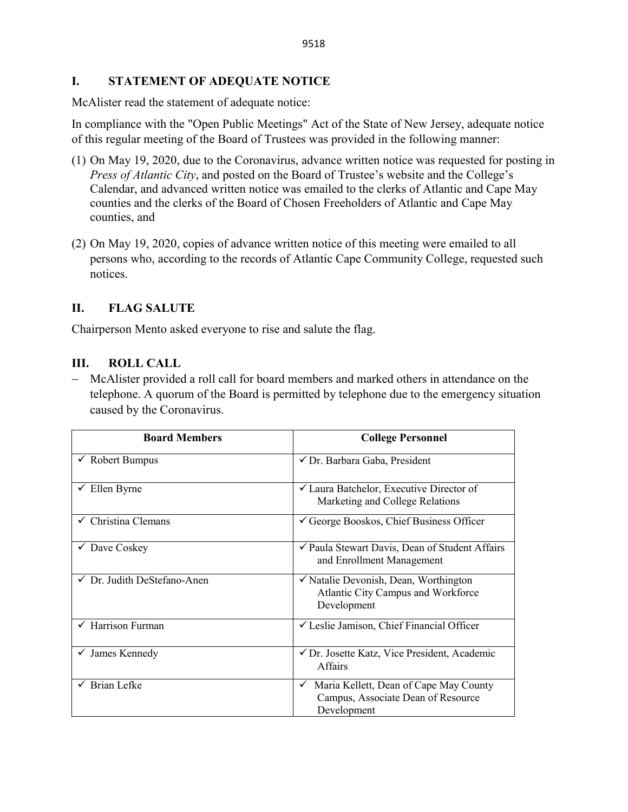### **I. STATEMENT OF ADEQUATE NOTICE**

McAlister read the statement of adequate notice:

In compliance with the "Open Public Meetings" Act of the State of New Jersey, adequate notice of this regular meeting of the Board of Trustees was provided in the following manner:

- (1) On May 19, 2020, due to the Coronavirus, advance written notice was requested for posting in *Press of Atlantic City*, and posted on the Board of Trustee's website and the College's Calendar, and advanced written notice was emailed to the clerks of Atlantic and Cape May counties and the clerks of the Board of Chosen Freeholders of Atlantic and Cape May counties, and
- (2) On May 19, 2020, copies of advance written notice of this meeting were emailed to all persons who, according to the records of Atlantic Cape Community College, requested such notices.

## **II. FLAG SALUTE**

Chairperson Mento asked everyone to rise and salute the flag.

### **III. ROLL CALL**

− McAlister provided a roll call for board members and marked others in attendance on the telephone. A quorum of the Board is permitted by telephone due to the emergency situation caused by the Coronavirus.

| <b>Board Members</b>           | <b>College Personnel</b>                                                                         |  |
|--------------------------------|--------------------------------------------------------------------------------------------------|--|
| $\checkmark$ Robert Bumpus     | √ Dr. Barbara Gaba, President                                                                    |  |
| $\checkmark$ Ellen Byrne       | $\checkmark$ Laura Batchelor, Executive Director of<br>Marketing and College Relations           |  |
| $\checkmark$ Christina Clemans | $\checkmark$ George Booskos, Chief Business Officer                                              |  |
| Dave Coskey<br>$\checkmark$    | ✔ Paula Stewart Davis, Dean of Student Affairs<br>and Enrollment Management                      |  |
| √ Dr. Judith DeStefano-Anen    | √ Natalie Devonish, Dean, Worthington<br>Atlantic City Campus and Workforce<br>Development       |  |
| $\checkmark$ Harrison Furman   | └ Leslie Jamison, Chief Financial Officer                                                        |  |
| James Kennedy<br>$\checkmark$  | ✔ Dr. Josette Katz, Vice President, Academic<br><b>Affairs</b>                                   |  |
| $\checkmark$ Brian Lefke       | Maria Kellett, Dean of Cape May County<br>✓<br>Campus, Associate Dean of Resource<br>Development |  |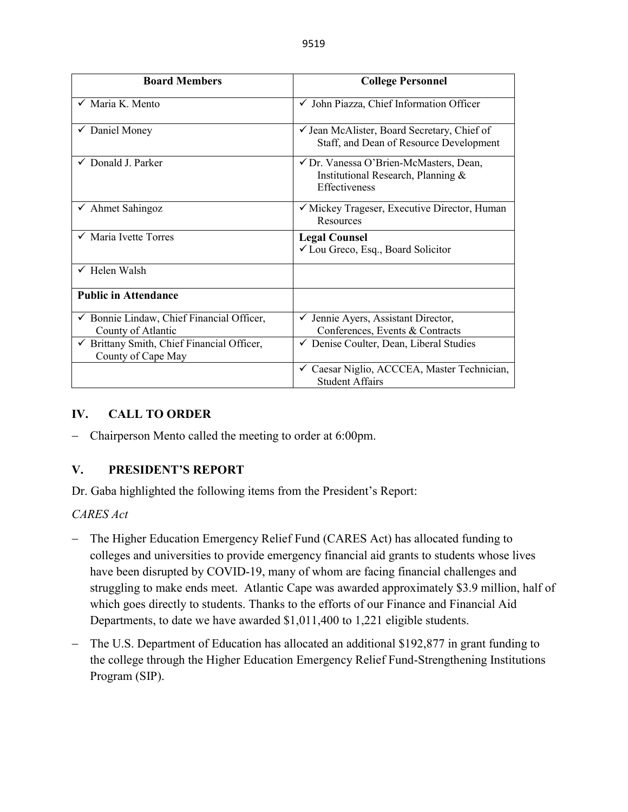| <b>Board Members</b>                                                       | <b>College Personnel</b>                                                                             |  |
|----------------------------------------------------------------------------|------------------------------------------------------------------------------------------------------|--|
| $\checkmark$ Maria K. Mento                                                | √ John Piazza, Chief Information Officer                                                             |  |
| $\checkmark$ Daniel Money                                                  | ✓ Jean McAlister, Board Secretary, Chief of<br>Staff, and Dean of Resource Development               |  |
| $\checkmark$ Donald J. Parker                                              | √ Dr. Vanessa O'Brien-McMasters, Dean,<br>Institutional Research, Planning &<br><b>Effectiveness</b> |  |
| $\checkmark$ Ahmet Sahingoz                                                | ✓ Mickey Trageser, Executive Director, Human<br>Resources                                            |  |
| √ Maria Ivette Torres                                                      | <b>Legal Counsel</b><br>✓ Lou Greco, Esq., Board Solicitor                                           |  |
| $\checkmark$ Helen Walsh                                                   |                                                                                                      |  |
| <b>Public in Attendance</b>                                                |                                                                                                      |  |
| $\checkmark$ Bonnie Lindaw, Chief Financial Officer,<br>County of Atlantic | √ Jennie Ayers, Assistant Director,<br>Conferences, Events & Contracts                               |  |
| └ Brittany Smith, Chief Financial Officer,<br>County of Cape May           | ✔ Denise Coulter, Dean, Liberal Studies                                                              |  |
|                                                                            | ✓ Caesar Niglio, ACCCEA, Master Technician,<br><b>Student Affairs</b>                                |  |

# **IV. CALL TO ORDER**

− Chairperson Mento called the meeting to order at 6:00pm.

## **V. PRESIDENT'S REPORT**

Dr. Gaba highlighted the following items from the President's Report:

*CARES Act*

- − The Higher Education Emergency Relief Fund (CARES Act) has allocated funding to colleges and universities to provide emergency financial aid grants to students whose lives have been disrupted by COVID-19, many of whom are facing financial challenges and struggling to make ends meet. Atlantic Cape was awarded approximately \$3.9 million, half of which goes directly to students. Thanks to the efforts of our Finance and Financial Aid Departments, to date we have awarded \$1,011,400 to 1,221 eligible students.
- − The U.S. Department of Education has allocated an additional \$192,877 in grant funding to the college through the Higher Education Emergency Relief Fund-Strengthening Institutions Program (SIP).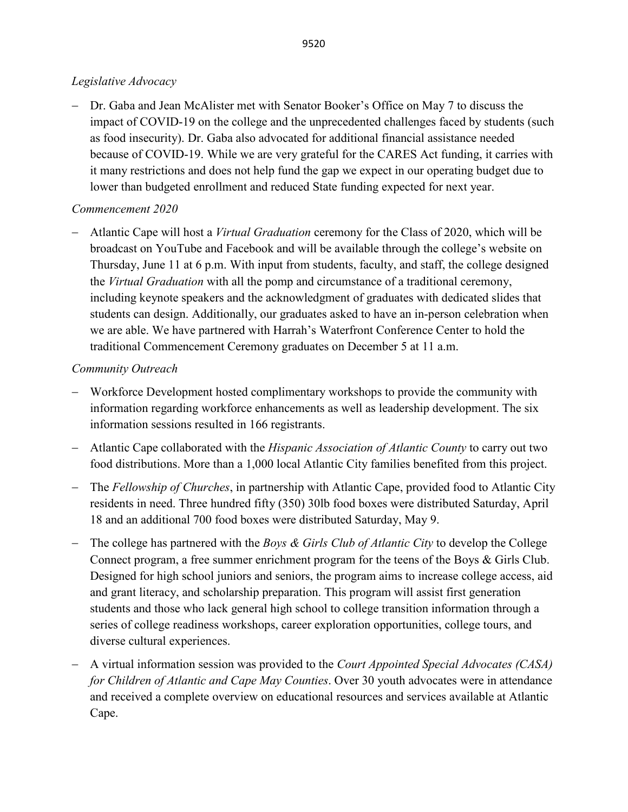# *Legislative Advocacy*

− Dr. Gaba and Jean McAlister met with Senator Booker's Office on May 7 to discuss the impact of COVID-19 on the college and the unprecedented challenges faced by students (such as food insecurity). Dr. Gaba also advocated for additional financial assistance needed because of COVID-19. While we are very grateful for the CARES Act funding, it carries with it many restrictions and does not help fund the gap we expect in our operating budget due to lower than budgeted enrollment and reduced State funding expected for next year.

# *Commencement 2020*

− Atlantic Cape will host a *Virtual Graduation* ceremony for the Class of 2020, which will be broadcast on YouTube and Facebook and will be available through the college's website on Thursday, June 11 at 6 p.m. With input from students, faculty, and staff, the college designed the *Virtual Graduation* with all the pomp and circumstance of a traditional ceremony, including keynote speakers and the acknowledgment of graduates with dedicated slides that students can design. Additionally, our graduates asked to have an in-person celebration when we are able. We have partnered with Harrah's Waterfront Conference Center to hold the traditional Commencement Ceremony graduates on December 5 at 11 a.m.

# *Community Outreach*

- − Workforce Development hosted complimentary workshops to provide the community with information regarding workforce enhancements as well as leadership development. The six information sessions resulted in 166 registrants.
- − Atlantic Cape collaborated with the *Hispanic Association of Atlantic County* to carry out two food distributions. More than a 1,000 local Atlantic City families benefited from this project.
- − The *Fellowship of Churches*, in partnership with Atlantic Cape, provided food to Atlantic City residents in need. Three hundred fifty (350) 30lb food boxes were distributed Saturday, April 18 and an additional 700 food boxes were distributed Saturday, May 9.
- − The college has partnered with the *Boys & Girls Club of Atlantic City* to develop the College Connect program, a free summer enrichment program for the teens of the Boys & Girls Club. Designed for high school juniors and seniors, the program aims to increase college access, aid and grant literacy, and scholarship preparation. This program will assist first generation students and those who lack general high school to college transition information through a series of college readiness workshops, career exploration opportunities, college tours, and diverse cultural experiences.
- − A virtual information session was provided to the *Court Appointed Special Advocates (CASA) for Children of Atlantic and Cape May Counties*. Over 30 youth advocates were in attendance and received a complete overview on educational resources and services available at Atlantic Cape.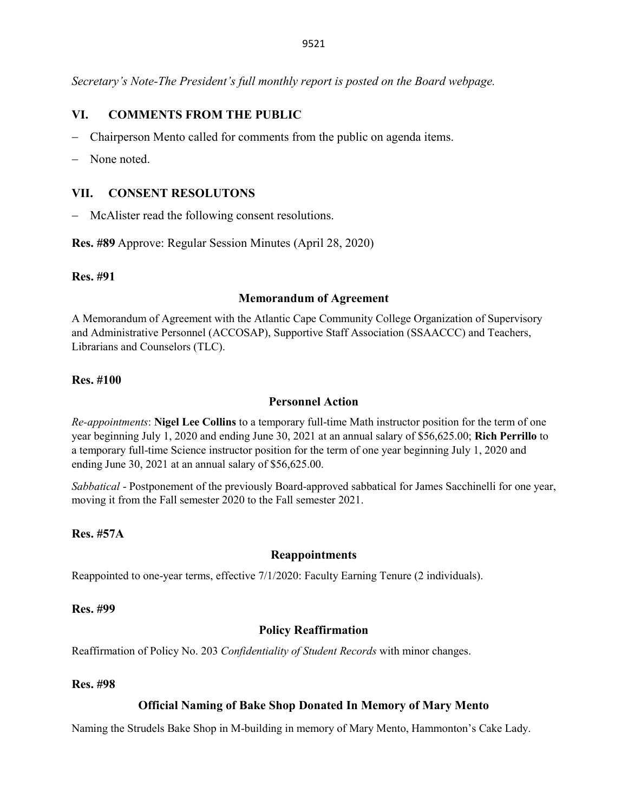*Secretary's Note-The President's full monthly report is posted on the Board webpage.*

### **VI. COMMENTS FROM THE PUBLIC**

- − Chairperson Mento called for comments from the public on agenda items.
- − None noted.

### **VII. CONSENT RESOLUTONS**

− McAlister read the following consent resolutions.

**Res. #89** Approve: Regular Session Minutes (April 28, 2020)

#### **Res. #91**

### **Memorandum of Agreement**

A Memorandum of Agreement with the Atlantic Cape Community College Organization of Supervisory and Administrative Personnel (ACCOSAP), Supportive Staff Association (SSAACCC) and Teachers, Librarians and Counselors (TLC).

### **Res. #100**

### **Personnel Action**

*Re-appointments*: **Nigel Lee Collins** to a temporary full-time Math instructor position for the term of one year beginning July 1, 2020 and ending June 30, 2021 at an annual salary of \$56,625.00; **Rich Perrillo** to a temporary full-time Science instructor position for the term of one year beginning July 1, 2020 and ending June 30, 2021 at an annual salary of \$56,625.00.

*Sabbatical* - Postponement of the previously Board-approved sabbatical for James Sacchinelli for one year, moving it from the Fall semester 2020 to the Fall semester 2021.

### **Res. #57A**

#### **Reappointments**

Reappointed to one-year terms, effective 7/1/2020: Faculty Earning Tenure (2 individuals).

#### **Res. #99**

### **Policy Reaffirmation**

Reaffirmation of Policy No. 203 *Confidentiality of Student Records* with minor changes.

### **Res. #98**

### **Official Naming of Bake Shop Donated In Memory of Mary Mento**

Naming the Strudels Bake Shop in M-building in memory of Mary Mento, Hammonton's Cake Lady.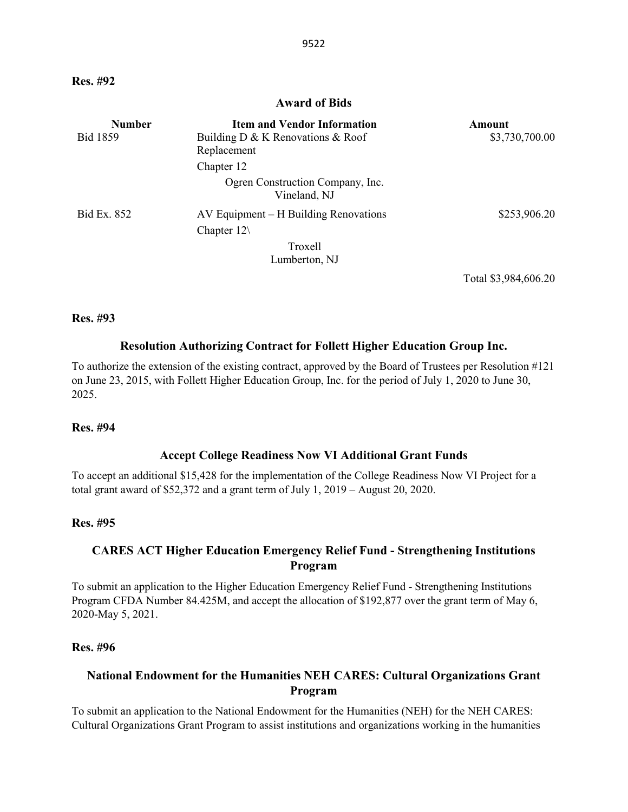#### **Award of Bids**

| <b>Number</b>   | <b>Item and Vendor Information</b>               | Amount         |
|-----------------|--------------------------------------------------|----------------|
| <b>Bid 1859</b> | Building $D \& K$ Renovations $\&$ Roof          | \$3,730,700.00 |
|                 | Replacement                                      |                |
|                 | Chapter 12                                       |                |
|                 | Ogren Construction Company, Inc.<br>Vineland, NJ |                |
| Bid Ex. 852     | $AV$ Equipment $- H$ Building Renovations        | \$253,906.20   |
|                 | Chapter $12\lambda$                              |                |
|                 | Troxell                                          |                |
|                 | Lumberton, NJ                                    |                |

Total \$3,984,606.20

#### **Res. #93**

### **Resolution Authorizing Contract for Follett Higher Education Group Inc.**

To authorize the extension of the existing contract, approved by the Board of Trustees per Resolution #121 on June 23, 2015, with Follett Higher Education Group, Inc. for the period of July 1, 2020 to June 30, 2025.

#### **Res. #94**

#### **Accept College Readiness Now VI Additional Grant Funds**

To accept an additional \$15,428 for the implementation of the College Readiness Now VI Project for a total grant award of \$52,372 and a grant term of July 1, 2019 – August 20, 2020.

#### **Res. #95**

### **CARES ACT Higher Education Emergency Relief Fund - Strengthening Institutions Program**

To submit an application to the Higher Education Emergency Relief Fund - Strengthening Institutions Program CFDA Number 84.425M, and accept the allocation of \$192,877 over the grant term of May 6, 2020-May 5, 2021.

#### **Res. #96**

### **National Endowment for the Humanities NEH CARES: Cultural Organizations Grant Program**

To submit an application to the National Endowment for the Humanities (NEH) for the NEH CARES: Cultural Organizations Grant Program to assist institutions and organizations working in the humanities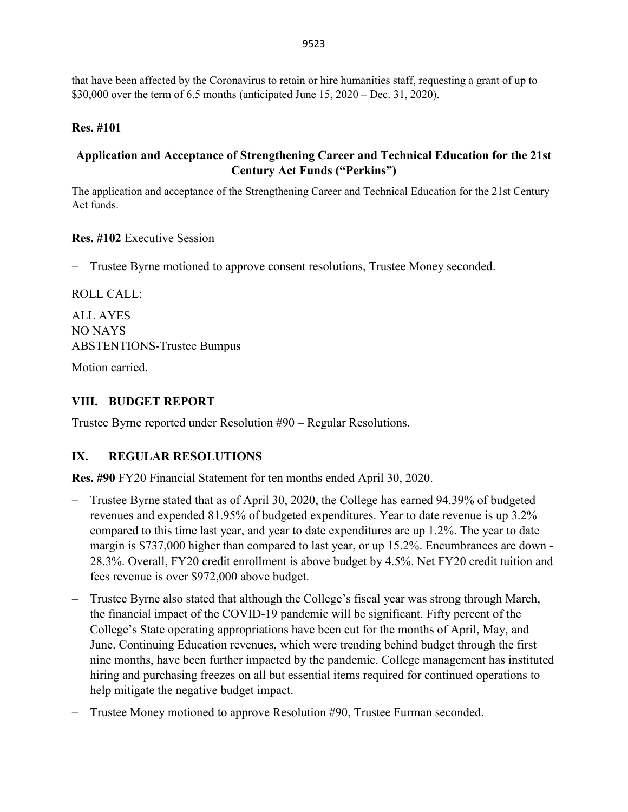that have been affected by the Coronavirus to retain or hire humanities staff, requesting a grant of up to \$30,000 over the term of 6.5 months (anticipated June 15, 2020 – Dec. 31, 2020).

# **Res. #101**

# **Application and Acceptance of Strengthening Career and Technical Education for the 21st Century Act Funds ("Perkins")**

The application and acceptance of the Strengthening Career and Technical Education for the 21st Century Act funds.

**Res. #102** Executive Session

− Trustee Byrne motioned to approve consent resolutions, Trustee Money seconded.

ROLL CALL:

ALL AYES NO NAYS ABSTENTIONS-Trustee Bumpus

Motion carried.

# **VIII. BUDGET REPORT**

Trustee Byrne reported under Resolution #90 – Regular Resolutions.

# **IX. REGULAR RESOLUTIONS**

**Res. #90** FY20 Financial Statement for ten months ended April 30, 2020.

- − Trustee Byrne stated that as of April 30, 2020, the College has earned 94.39% of budgeted revenues and expended 81.95% of budgeted expenditures. Year to date revenue is up 3.2% compared to this time last year, and year to date expenditures are up 1.2%. The year to date margin is \$737,000 higher than compared to last year, or up 15.2%. Encumbrances are down - 28.3%. Overall, FY20 credit enrollment is above budget by 4.5%. Net FY20 credit tuition and fees revenue is over \$972,000 above budget.
- − Trustee Byrne also stated that although the College's fiscal year was strong through March, the financial impact of the COVID-19 pandemic will be significant. Fifty percent of the College's State operating appropriations have been cut for the months of April, May, and June. Continuing Education revenues, which were trending behind budget through the first nine months, have been further impacted by the pandemic. College management has instituted hiring and purchasing freezes on all but essential items required for continued operations to help mitigate the negative budget impact.
- − Trustee Money motioned to approve Resolution #90, Trustee Furman seconded.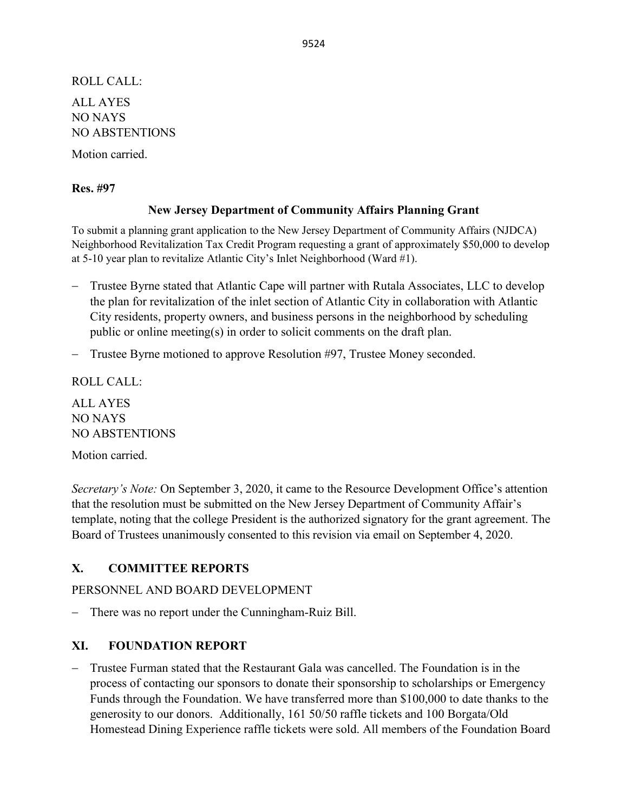ROLL CALL: ALL AYES NO NAYS NO ABSTENTIONS

Motion carried.

### **Res. #97**

### **New Jersey Department of Community Affairs Planning Grant**

To submit a planning grant application to the New Jersey Department of Community Affairs (NJDCA) Neighborhood Revitalization Tax Credit Program requesting a grant of approximately \$50,000 to develop at 5-10 year plan to revitalize Atlantic City's Inlet Neighborhood (Ward #1).

- − Trustee Byrne stated that Atlantic Cape will partner with Rutala Associates, LLC to develop the plan for revitalization of the inlet section of Atlantic City in collaboration with Atlantic City residents, property owners, and business persons in the neighborhood by scheduling public or online meeting(s) in order to solicit comments on the draft plan.
- − Trustee Byrne motioned to approve Resolution #97, Trustee Money seconded.

ROLL CALL:

ALL AYES NO NAYS NO ABSTENTIONS Motion carried.

*Secretary's Note:* On September 3, 2020, it came to the Resource Development Office's attention that the resolution must be submitted on the New Jersey Department of Community Affair's template, noting that the college President is the authorized signatory for the grant agreement. The Board of Trustees unanimously consented to this revision via email on September 4, 2020.

## **X. COMMITTEE REPORTS**

PERSONNEL AND BOARD DEVELOPMENT

− There was no report under the Cunningham-Ruiz Bill.

## **XI. FOUNDATION REPORT**

− Trustee Furman stated that the Restaurant Gala was cancelled. The Foundation is in the process of contacting our sponsors to donate their sponsorship to scholarships or Emergency Funds through the Foundation. We have transferred more than \$100,000 to date thanks to the generosity to our donors. Additionally, 161 50/50 raffle tickets and 100 Borgata/Old Homestead Dining Experience raffle tickets were sold. All members of the Foundation Board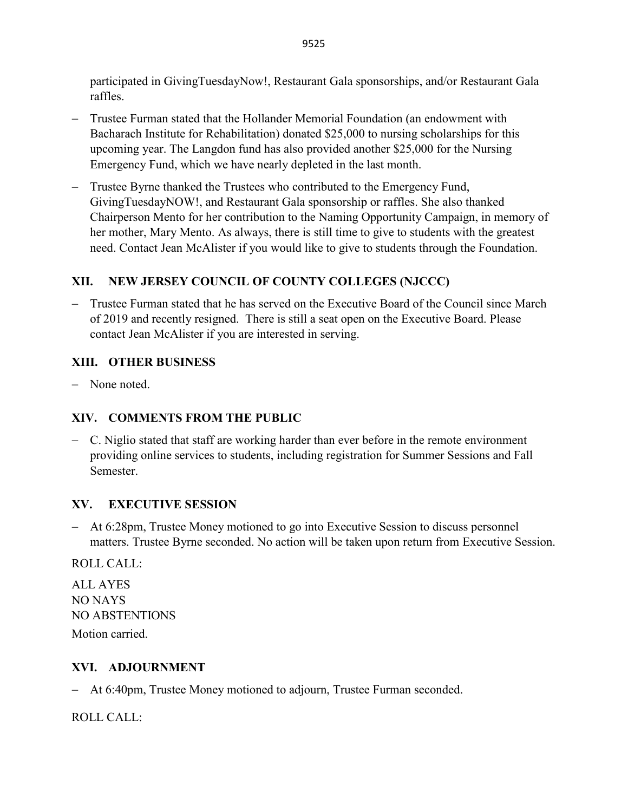participated in GivingTuesdayNow!, Restaurant Gala sponsorships, and/or Restaurant Gala raffles.

- Trustee Furman stated that the Hollander Memorial Foundation (an endowment with Bacharach Institute for Rehabilitation) donated \$25,000 to nursing scholarships for this upcoming year. The Langdon fund has also provided another \$25,000 for the Nursing Emergency Fund, which we have nearly depleted in the last month.
- − Trustee Byrne thanked the Trustees who contributed to the Emergency Fund, GivingTuesdayNOW!, and Restaurant Gala sponsorship or raffles. She also thanked Chairperson Mento for her contribution to the Naming Opportunity Campaign, in memory of her mother, Mary Mento. As always, there is still time to give to students with the greatest need. Contact Jean McAlister if you would like to give to students through the Foundation.

# **XII. NEW JERSEY COUNCIL OF COUNTY COLLEGES (NJCCC)**

− Trustee Furman stated that he has served on the Executive Board of the Council since March of 2019 and recently resigned. There is still a seat open on the Executive Board. Please contact Jean McAlister if you are interested in serving.

# **XIII. OTHER BUSINESS**

− None noted.

# **XIV. COMMENTS FROM THE PUBLIC**

− C. Niglio stated that staff are working harder than ever before in the remote environment providing online services to students, including registration for Summer Sessions and Fall Semester.

# **XV. EXECUTIVE SESSION**

− At 6:28pm, Trustee Money motioned to go into Executive Session to discuss personnel matters. Trustee Byrne seconded. No action will be taken upon return from Executive Session.

ROLL CALL:

ALL AYES NO NAYS NO ABSTENTIONS Motion carried.

# **XVI. ADJOURNMENT**

− At 6:40pm, Trustee Money motioned to adjourn, Trustee Furman seconded.

ROLL CALL: